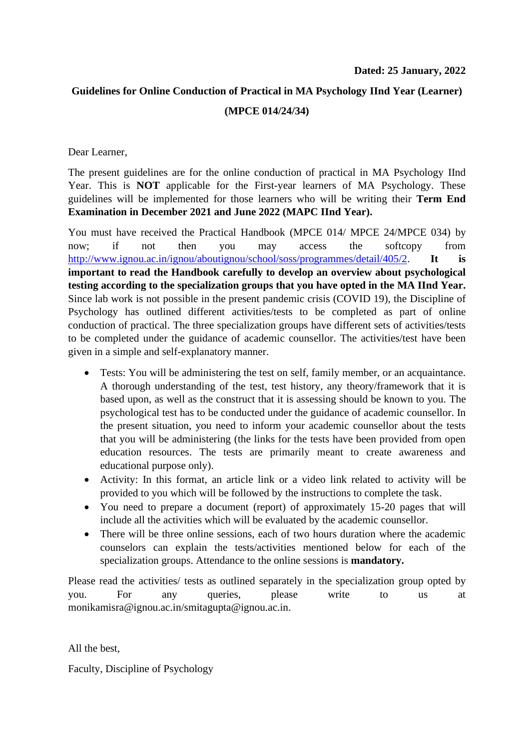# **Guidelines for Online Conduction of Practical in MA Psychology IInd Year (Learner) (MPCE 014/24/34)**

Dear Learner,

The present guidelines are for the online conduction of practical in MA Psychology IInd Year. This is **NOT** applicable for the First-year learners of MA Psychology. These guidelines will be implemented for those learners who will be writing their **Term End Examination in December 2021 and June 2022 (MAPC IInd Year).**

You must have received the Practical Handbook (MPCE 014/ MPCE 24/MPCE 034) by now; if not then you may access the softcopy from [http://www.ignou.ac.in/ignou/aboutignou/school/soss/programmes/detail/405/2.](http://www.ignou.ac.in/ignou/aboutignou/school/soss/programmes/detail/405/2) **It is important to read the Handbook carefully to develop an overview about psychological testing according to the specialization groups that you have opted in the MA IInd Year.** Since lab work is not possible in the present pandemic crisis (COVID 19), the Discipline of Psychology has outlined different activities/tests to be completed as part of online conduction of practical. The three specialization groups have different sets of activities/tests to be completed under the guidance of academic counsellor. The activities/test have been given in a simple and self-explanatory manner.

- Tests: You will be administering the test on self, family member, or an acquaintance. A thorough understanding of the test, test history, any theory/framework that it is based upon, as well as the construct that it is assessing should be known to you. The psychological test has to be conducted under the guidance of academic counsellor. In the present situation, you need to inform your academic counsellor about the tests that you will be administering (the links for the tests have been provided from open education resources. The tests are primarily meant to create awareness and educational purpose only).
- Activity: In this format, an article link or a video link related to activity will be provided to you which will be followed by the instructions to complete the task.
- You need to prepare a document (report) of approximately 15-20 pages that will include all the activities which will be evaluated by the academic counsellor.
- There will be three online sessions, each of two hours duration where the academic counselors can explain the tests/activities mentioned below for each of the specialization groups. Attendance to the online sessions is **mandatory.**

Please read the activities/ tests as outlined separately in the specialization group opted by you. For any queries, please write to us at monikamisra@ignou.ac.in/smitagupta@ignou.ac.in.

All the best,

Faculty, Discipline of Psychology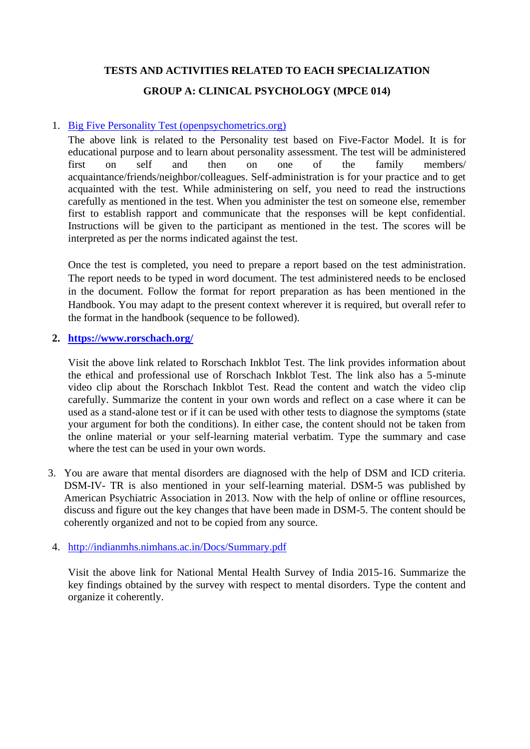# **TESTS AND ACTIVITIES RELATED TO EACH SPECIALIZATION**

# **GROUP A: CLINICAL PSYCHOLOGY (MPCE 014)**

#### 1. [Big Five Personality Test \(openpsychometrics.org\)](https://openpsychometrics.org/tests/IPIP-BFFM/)

The above link is related to the Personality test based on Five-Factor Model. It is for educational purpose and to learn about personality assessment. The test will be administered first on self and then on one of the family members/ acquaintance/friends/neighbor/colleagues. Self-administration is for your practice and to get acquainted with the test. While administering on self, you need to read the instructions carefully as mentioned in the test. When you administer the test on someone else, remember first to establish rapport and communicate that the responses will be kept confidential. Instructions will be given to the participant as mentioned in the test. The scores will be interpreted as per the norms indicated against the test.

Once the test is completed, you need to prepare a report based on the test administration. The report needs to be typed in word document. The test administered needs to be enclosed in the document. Follow the format for report preparation as has been mentioned in the Handbook. You may adapt to the present context wherever it is required, but overall refer to the format in the handbook (sequence to be followed).

#### **2. <https://www.rorschach.org/>**

Visit the above link related to Rorschach Inkblot Test. The link provides information about the ethical and professional use of Rorschach Inkblot Test. The link also has a 5-minute video clip about the Rorschach Inkblot Test. Read the content and watch the video clip carefully. Summarize the content in your own words and reflect on a case where it can be used as a stand-alone test or if it can be used with other tests to diagnose the symptoms (state your argument for both the conditions). In either case, the content should not be taken from the online material or your self-learning material verbatim. Type the summary and case where the test can be used in your own words.

3. You are aware that mental disorders are diagnosed with the help of DSM and ICD criteria. DSM-IV- TR is also mentioned in your self-learning material. DSM-5 was published by American Psychiatric Association in 2013. Now with the help of online or offline resources, discuss and figure out the key changes that have been made in DSM-5. The content should be coherently organized and not to be copied from any source.

#### 4. <http://indianmhs.nimhans.ac.in/Docs/Summary.pdf>

Visit the above link for National Mental Health Survey of India 2015-16. Summarize the key findings obtained by the survey with respect to mental disorders. Type the content and organize it coherently.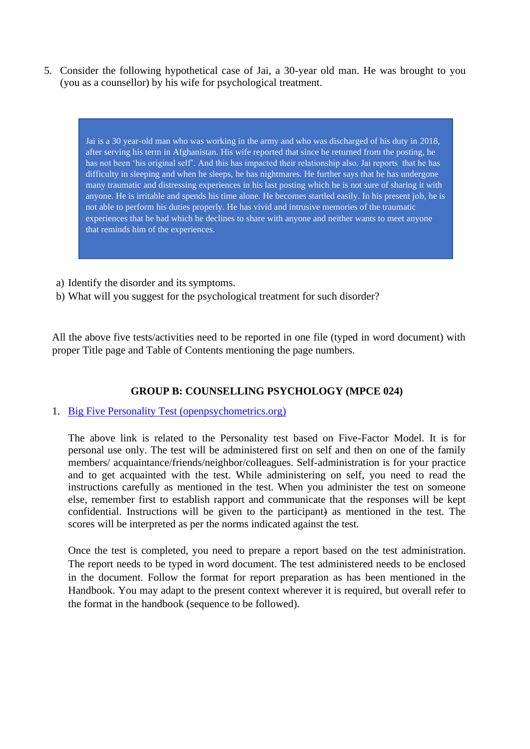5. Consider the following hypothetical case of Jai, a 30-year old man. He was brought to you (you as a counsellor) by his wife for psychological treatment.

Jai is a 30 year-old man who was working in the army and who was discharged of his duty in 2018, after serving his term in Afghanistan. His wife reported that since he returned from the posting, he has not been 'his original self'. And this has impacted their relationship also. Jai reports that he has difficulty in sleeping and when he sleeps, he has nightmares. He further says that he has undergone many traumatic and distressing experiences in his last posting which he is not sure of sharing it with anyone. He is irritable and spends his time alone. He becomes startled easily. In his present job, he is not able to perform his duties properly. He has vivid and intrusive memories of the traumatic experiences that he had which he declines to share with anyone and neither wants to meet anyone that reminds him of the experiences.

- a) Identify the disorder and its symptoms.
- b) What will you suggest for the psychological treatment for such disorder?

All the above five tests/activities need to be reported in one file (typed in word document) with proper Title page and Table of Contents mentioning the page numbers.

# **GROUP B: COUNSELLING PSYCHOLOGY (MPCE 024)**

#### 1. [Big Five Personality Test \(openpsychometrics.org\)](https://openpsychometrics.org/tests/IPIP-BFFM/)

The above link is related to the Personality test based on Five-Factor Model. It is for personal use only. The test will be administered first on self and then on one of the family members/ acquaintance/friends/neighbor/colleagues. Self-administration is for your practice and to get acquainted with the test. While administering on self, you need to read the instructions carefully as mentioned in the test. When you administer the test on someone else, remember first to establish rapport and communicate that the responses will be kept confidential. Instructions will be given to the participant) as mentioned in the test. The scores will be interpreted as per the norms indicated against the test.

Once the test is completed, you need to prepare a report based on the test administration. The report needs to be typed in word document. The test administered needs to be enclosed in the document. Follow the format for report preparation as has been mentioned in the Handbook. You may adapt to the present context wherever it is required, but overall refer to the format in the handbook (sequence to be followed).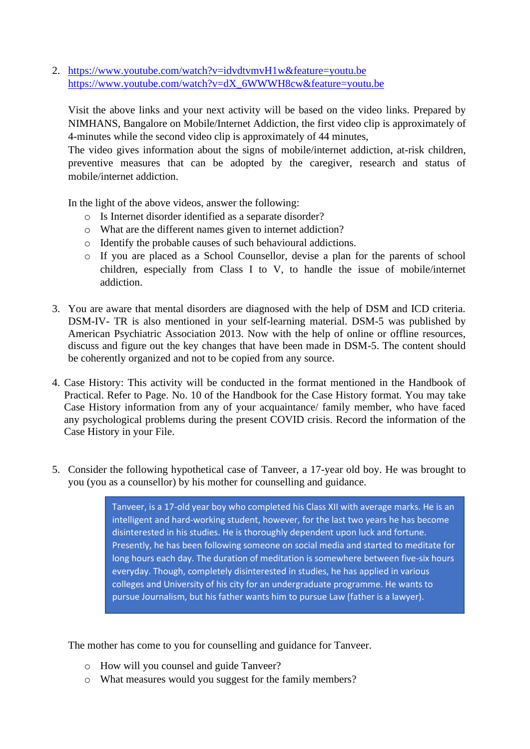2. <https://www.youtube.com/watch?v=idvdtvmvH1w&feature=youtu.be> [https://www.youtube.com/watch?v=dX\\_6WWWH8cw&feature=youtu.be](https://www.youtube.com/watch?v=dX_6WWWH8cw&feature=youtu.be)

Visit the above links and your next activity will be based on the video links. Prepared by NIMHANS, Bangalore on Mobile/Internet Addiction, the first video clip is approximately of 4-minutes while the second video clip is approximately of 44 minutes,

The video gives information about the signs of mobile/internet addiction, at-risk children, preventive measures that can be adopted by the caregiver, research and status of mobile/internet addiction.

In the light of the above videos, answer the following:

- o Is Internet disorder identified as a separate disorder?
- o What are the different names given to internet addiction?
- o Identify the probable causes of such behavioural addictions.
- o If you are placed as a School Counsellor, devise a plan for the parents of school children, especially from Class I to V, to handle the issue of mobile/internet addiction.
- 3. You are aware that mental disorders are diagnosed with the help of DSM and ICD criteria. DSM-IV- TR is also mentioned in your self-learning material. DSM-5 was published by American Psychiatric Association 2013. Now with the help of online or offline resources, discuss and figure out the key changes that have been made in DSM-5. The content should be coherently organized and not to be copied from any source.
- 4. Case History: This activity will be conducted in the format mentioned in the Handbook of Practical. Refer to Page. No. 10 of the Handbook for the Case History format. You may take Case History information from any of your acquaintance/ family member, who have faced any psychological problems during the present COVID crisis. Record the information of the Case History in your File.
- 5. Consider the following hypothetical case of Tanveer, a 17-year old boy. He was brought to you (you as a counsellor) by his mother for counselling and guidance.

Tanveer, is a 17-old year boy who completed his Class XII with average marks. He is an intelligent and hard-working student, however, for the last two years he has become disinterested in his studies. He is thoroughly dependent upon luck and fortune. Presently, he has been following someone on social media and started to meditate for long hours each day. The duration of meditation is somewhere between five-six hours everyday. Though, completely disinterested in studies, he has applied in various colleges and University of his city for an undergraduate programme. He wants to pursue Journalism, but his father wants him to pursue Law (father is a lawyer).

The mother has come to you for counselling and guidance for Tanveer.

- o How will you counsel and guide Tanveer?
- o What measures would you suggest for the family members?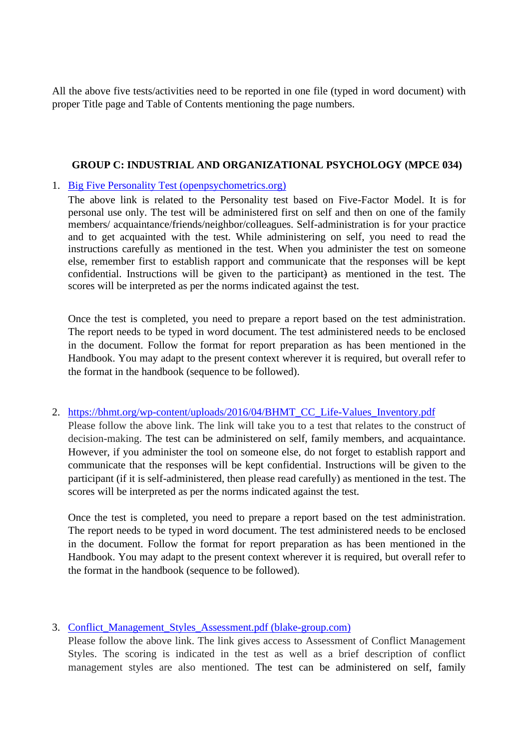All the above five tests/activities need to be reported in one file (typed in word document) with proper Title page and Table of Contents mentioning the page numbers.

#### **GROUP C: INDUSTRIAL AND ORGANIZATIONAL PSYCHOLOGY (MPCE 034)**

#### 1. [Big Five Personality Test \(openpsychometrics.org\)](https://openpsychometrics.org/tests/IPIP-BFFM/)

The above link is related to the Personality test based on Five-Factor Model. It is for personal use only. The test will be administered first on self and then on one of the family members/ acquaintance/friends/neighbor/colleagues. Self-administration is for your practice and to get acquainted with the test. While administering on self, you need to read the instructions carefully as mentioned in the test. When you administer the test on someone else, remember first to establish rapport and communicate that the responses will be kept confidential. Instructions will be given to the participant) as mentioned in the test. The scores will be interpreted as per the norms indicated against the test.

Once the test is completed, you need to prepare a report based on the test administration. The report needs to be typed in word document. The test administered needs to be enclosed in the document. Follow the format for report preparation as has been mentioned in the Handbook. You may adapt to the present context wherever it is required, but overall refer to the format in the handbook (sequence to be followed).

#### 2. [https://bhmt.org/wp-content/uploads/2016/04/BHMT\\_CC\\_Life-Values\\_Inventory.pdf](https://bhmt.org/wp-content/uploads/2016/04/BHMT_CC_Life-Values_Inventory.pdf)

Please follow the above link. The link will take you to a test that relates to the construct of decision-making. The test can be administered on self, family members, and acquaintance. However, if you administer the tool on someone else, do not forget to establish rapport and communicate that the responses will be kept confidential. Instructions will be given to the participant (if it is self-administered, then please read carefully) as mentioned in the test. The scores will be interpreted as per the norms indicated against the test.

Once the test is completed, you need to prepare a report based on the test administration. The report needs to be typed in word document. The test administered needs to be enclosed in the document. Follow the format for report preparation as has been mentioned in the Handbook. You may adapt to the present context wherever it is required, but overall refer to the format in the handbook (sequence to be followed).

# 3. [Conflict\\_Management\\_Styles\\_Assessment.pdf \(blake-group.com\)](http://blake-group.com/sites/default/files/assessments/Conflict_Management_Styles_Assessment.pdf)

Please follow the above link. The link gives access to Assessment of Conflict Management Styles. The scoring is indicated in the test as well as a brief description of conflict management styles are also mentioned. The test can be administered on self, family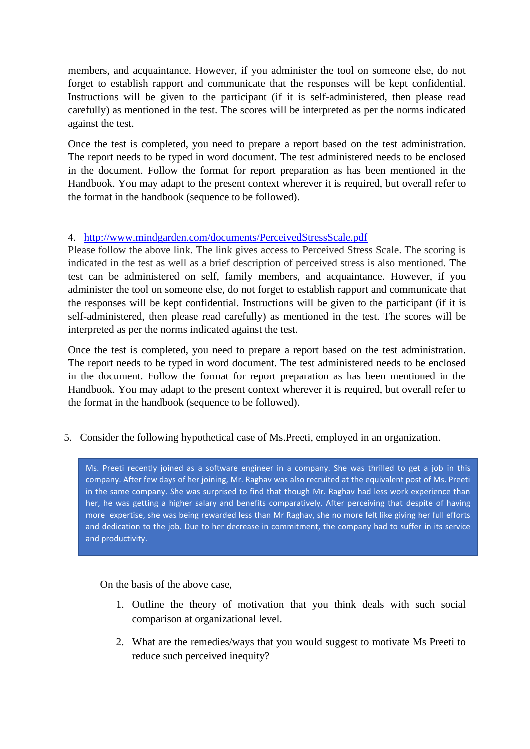members, and acquaintance. However, if you administer the tool on someone else, do not forget to establish rapport and communicate that the responses will be kept confidential. Instructions will be given to the participant (if it is self-administered, then please read carefully) as mentioned in the test. The scores will be interpreted as per the norms indicated against the test.

Once the test is completed, you need to prepare a report based on the test administration. The report needs to be typed in word document. The test administered needs to be enclosed in the document. Follow the format for report preparation as has been mentioned in the Handbook. You may adapt to the present context wherever it is required, but overall refer to the format in the handbook (sequence to be followed).

# 4. <http://www.mindgarden.com/documents/PerceivedStressScale.pdf>

Please follow the above link. The link gives access to Perceived Stress Scale. The scoring is indicated in the test as well as a brief description of perceived stress is also mentioned. The test can be administered on self, family members, and acquaintance. However, if you administer the tool on someone else, do not forget to establish rapport and communicate that the responses will be kept confidential. Instructions will be given to the participant (if it is self-administered, then please read carefully) as mentioned in the test. The scores will be interpreted as per the norms indicated against the test.

Once the test is completed, you need to prepare a report based on the test administration. The report needs to be typed in word document. The test administered needs to be enclosed in the document. Follow the format for report preparation as has been mentioned in the Handbook. You may adapt to the present context wherever it is required, but overall refer to the format in the handbook (sequence to be followed).

5. Consider the following hypothetical case of Ms.Preeti, employed in an organization.

. Ms. Preeti recently joined as a software engineer in a company. She was thrilled to get a job in this company. After few days of her joining, Mr. Raghav was also recruited at the equivalent post of Ms. Preeti in the same company. She was surprised to find that though Mr. Raghav had less work experience than her, he was getting a higher salary and benefits comparatively. After perceiving that despite of having more expertise, she was being rewarded less than Mr Raghav, she no more felt like giving her full efforts and dedication to the job. Due to her decrease in commitment, the company had to suffer in its service and productivity.

On the basis of the above case,

- 1. Outline the theory of motivation that you think deals with such social comparison at organizational level.
- 2. What are the remedies/ways that you would suggest to motivate Ms Preeti to reduce such perceived inequity?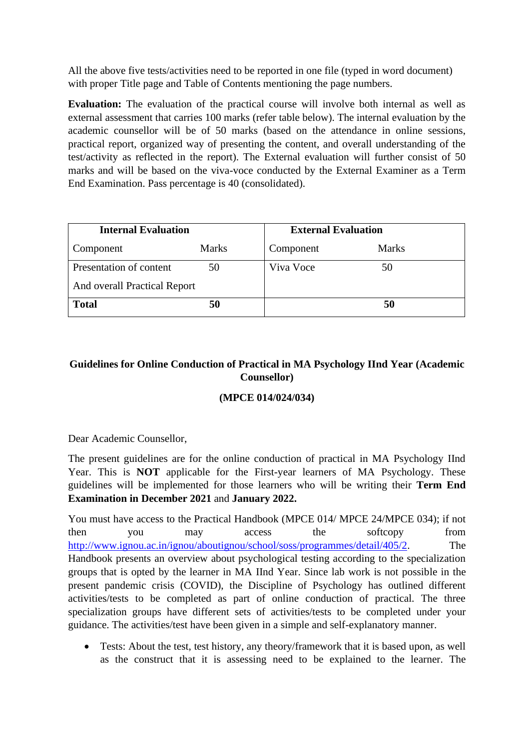All the above five tests/activities need to be reported in one file (typed in word document) with proper Title page and Table of Contents mentioning the page numbers.

**Evaluation:** The evaluation of the practical course will involve both internal as well as external assessment that carries 100 marks (refer table below). The internal evaluation by the academic counsellor will be of 50 marks (based on the attendance in online sessions, practical report, organized way of presenting the content, and overall understanding of the test/activity as reflected in the report). The External evaluation will further consist of 50 marks and will be based on the viva-voce conducted by the External Examiner as a Term End Examination. Pass percentage is 40 (consolidated).

| <b>Internal Evaluation</b>   |              |           | <b>External Evaluation</b> |  |
|------------------------------|--------------|-----------|----------------------------|--|
| Component                    | <b>Marks</b> | Component | <b>Marks</b>               |  |
| Presentation of content      | 50           | Viva Voce | 50                         |  |
| And overall Practical Report |              |           |                            |  |
| <b>Total</b>                 | 50           |           | 50                         |  |

# **Guidelines for Online Conduction of Practical in MA Psychology IInd Year (Academic Counsellor)**

# **(MPCE 014/024/034)**

Dear Academic Counsellor,

The present guidelines are for the online conduction of practical in MA Psychology IInd Year. This is **NOT** applicable for the First-year learners of MA Psychology. These guidelines will be implemented for those learners who will be writing their **Term End Examination in December 2021** and **January 2022.**

You must have access to the Practical Handbook (MPCE 014/ MPCE 24/MPCE 034); if not then you may access the softcopy from [http://www.ignou.ac.in/ignou/aboutignou/school/soss/programmes/detail/405/2.](http://www.ignou.ac.in/ignou/aboutignou/school/soss/programmes/detail/405/2) The Handbook presents an overview about psychological testing according to the specialization groups that is opted by the learner in MA IInd Year. Since lab work is not possible in the present pandemic crisis (COVID), the Discipline of Psychology has outlined different activities/tests to be completed as part of online conduction of practical. The three specialization groups have different sets of activities/tests to be completed under your guidance. The activities/test have been given in a simple and self-explanatory manner.

• Tests: About the test, test history, any theory/framework that it is based upon, as well as the construct that it is assessing need to be explained to the learner. The